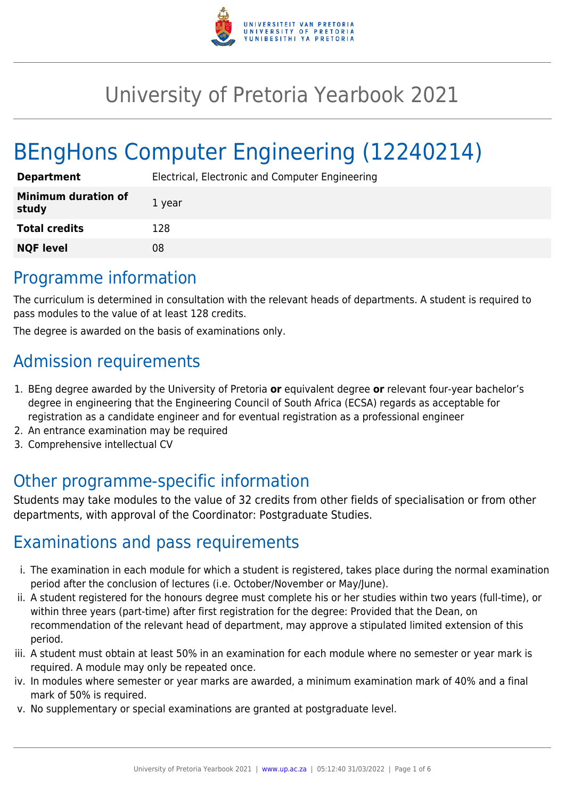

# University of Pretoria Yearbook 2021

# BEngHons Computer Engineering (12240214)

| <b>Department</b>                   | Electrical, Electronic and Computer Engineering |
|-------------------------------------|-------------------------------------------------|
| <b>Minimum duration of</b><br>study | 1 year                                          |
| <b>Total credits</b>                | 128                                             |
| <b>NQF level</b>                    | 08                                              |

### Programme information

The curriculum is determined in consultation with the relevant heads of departments. A student is required to pass modules to the value of at least 128 credits.

The degree is awarded on the basis of examinations only.

## Admission requirements

- 1. BEng degree awarded by the University of Pretoria **or** equivalent degree **or** relevant four-year bachelor's degree in engineering that the Engineering Council of South Africa (ECSA) regards as acceptable for registration as a candidate engineer and for eventual registration as a professional engineer
- 2. An entrance examination may be required
- 3. Comprehensive intellectual CV

### Other programme-specific information

Students may take modules to the value of 32 credits from other fields of specialisation or from other departments, with approval of the Coordinator: Postgraduate Studies.

### Examinations and pass requirements

- i. The examination in each module for which a student is registered, takes place during the normal examination period after the conclusion of lectures (i.e. October/November or May/June).
- ii. A student registered for the honours degree must complete his or her studies within two years (full-time), or within three years (part-time) after first registration for the degree: Provided that the Dean, on recommendation of the relevant head of department, may approve a stipulated limited extension of this period.
- iii. A student must obtain at least 50% in an examination for each module where no semester or year mark is required. A module may only be repeated once.
- iv. In modules where semester or year marks are awarded, a minimum examination mark of 40% and a final mark of 50% is required.
- v. No supplementary or special examinations are granted at postgraduate level.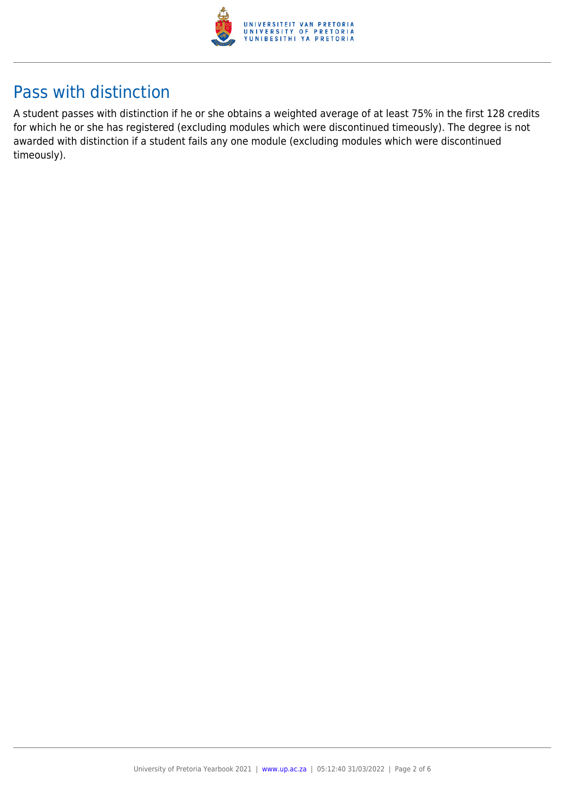

## Pass with distinction

A student passes with distinction if he or she obtains a weighted average of at least 75% in the first 128 credits for which he or she has registered (excluding modules which were discontinued timeously). The degree is not awarded with distinction if a student fails any one module (excluding modules which were discontinued timeously).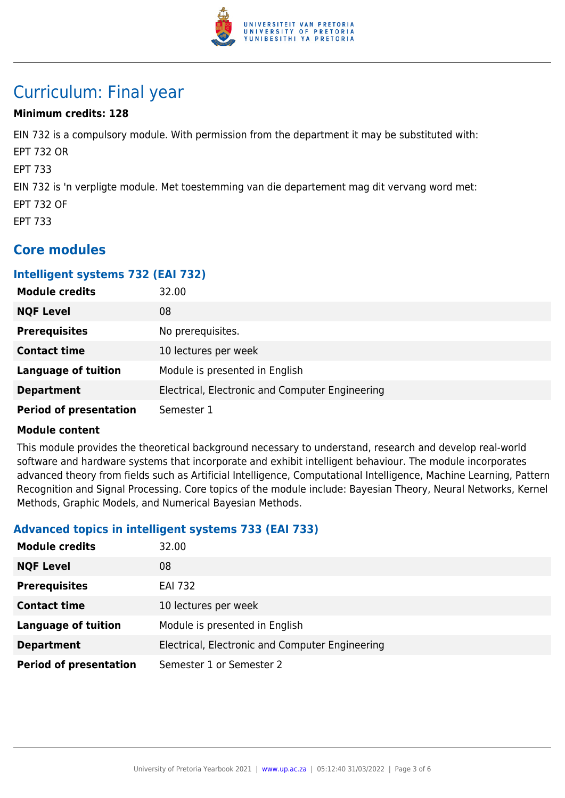

## Curriculum: Final year

#### **Minimum credits: 128**

EIN 732 is a compulsory module. With permission from the department it may be substituted with: EPT 732 OR EPT 733 EIN 732 is 'n verpligte module. Met toestemming van die departement mag dit vervang word met: EPT 732 OF EPT 733

### **Core modules**

#### **Intelligent systems 732 (EAI 732)**

| <b>Module credits</b>         | 32.00                                           |
|-------------------------------|-------------------------------------------------|
| <b>NQF Level</b>              | 08                                              |
| <b>Prerequisites</b>          | No prerequisites.                               |
| <b>Contact time</b>           | 10 lectures per week                            |
| <b>Language of tuition</b>    | Module is presented in English                  |
| <b>Department</b>             | Electrical, Electronic and Computer Engineering |
| <b>Period of presentation</b> | Semester 1                                      |

#### **Module content**

This module provides the theoretical background necessary to understand, research and develop real-world software and hardware systems that incorporate and exhibit intelligent behaviour. The module incorporates advanced theory from fields such as Artificial Intelligence, Computational Intelligence, Machine Learning, Pattern Recognition and Signal Processing. Core topics of the module include: Bayesian Theory, Neural Networks, Kernel Methods, Graphic Models, and Numerical Bayesian Methods.

#### **Advanced topics in intelligent systems 733 (EAI 733)**

| <b>Module credits</b>         | 32.00                                           |
|-------------------------------|-------------------------------------------------|
| <b>NQF Level</b>              | 08                                              |
| <b>Prerequisites</b>          | <b>EAI 732</b>                                  |
| <b>Contact time</b>           | 10 lectures per week                            |
| <b>Language of tuition</b>    | Module is presented in English                  |
| <b>Department</b>             | Electrical, Electronic and Computer Engineering |
| <b>Period of presentation</b> | Semester 1 or Semester 2                        |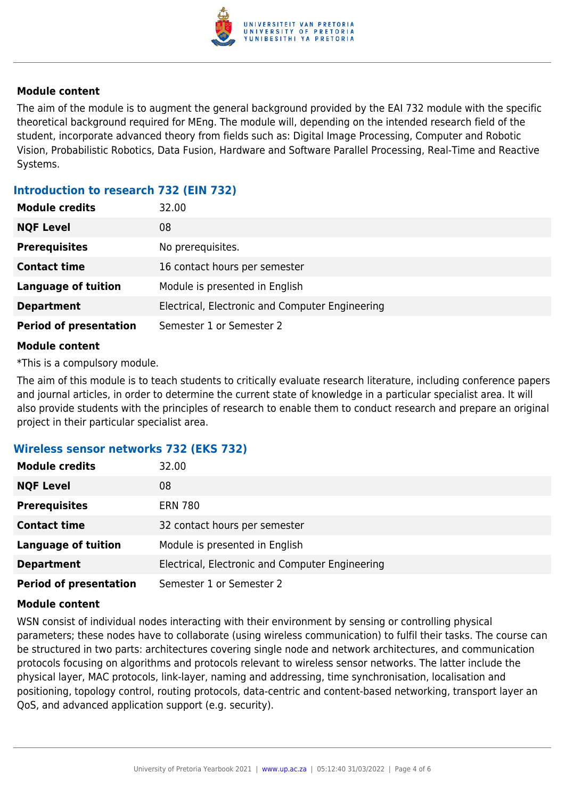

#### **Module content**

The aim of the module is to augment the general background provided by the EAI 732 module with the specific theoretical background required for MEng. The module will, depending on the intended research field of the student, incorporate advanced theory from fields such as: Digital Image Processing, Computer and Robotic Vision, Probabilistic Robotics, Data Fusion, Hardware and Software Parallel Processing, Real-Time and Reactive Systems.

#### **Introduction to research 732 (EIN 732)**

| <b>Module credits</b>         | 32.00                                           |
|-------------------------------|-------------------------------------------------|
| <b>NQF Level</b>              | 08                                              |
| <b>Prerequisites</b>          | No prerequisites.                               |
| <b>Contact time</b>           | 16 contact hours per semester                   |
| <b>Language of tuition</b>    | Module is presented in English                  |
| <b>Department</b>             | Electrical, Electronic and Computer Engineering |
| <b>Period of presentation</b> | Semester 1 or Semester 2                        |

#### **Module content**

\*This is a compulsory module.

The aim of this module is to teach students to critically evaluate research literature, including conference papers and journal articles, in order to determine the current state of knowledge in a particular specialist area. It will also provide students with the principles of research to enable them to conduct research and prepare an original project in their particular specialist area.

#### **Wireless sensor networks 732 (EKS 732)**

| <b>Module credits</b>         | 32.00                                           |
|-------------------------------|-------------------------------------------------|
| <b>NQF Level</b>              | 08                                              |
| <b>Prerequisites</b>          | <b>ERN 780</b>                                  |
| <b>Contact time</b>           | 32 contact hours per semester                   |
| <b>Language of tuition</b>    | Module is presented in English                  |
| <b>Department</b>             | Electrical, Electronic and Computer Engineering |
| <b>Period of presentation</b> | Semester 1 or Semester 2                        |

#### **Module content**

WSN consist of individual nodes interacting with their environment by sensing or controlling physical parameters; these nodes have to collaborate (using wireless communication) to fulfil their tasks. The course can be structured in two parts: architectures covering single node and network architectures, and communication protocols focusing on algorithms and protocols relevant to wireless sensor networks. The latter include the physical layer, MAC protocols, link-layer, naming and addressing, time synchronisation, localisation and positioning, topology control, routing protocols, data-centric and content-based networking, transport layer an QoS, and advanced application support (e.g. security).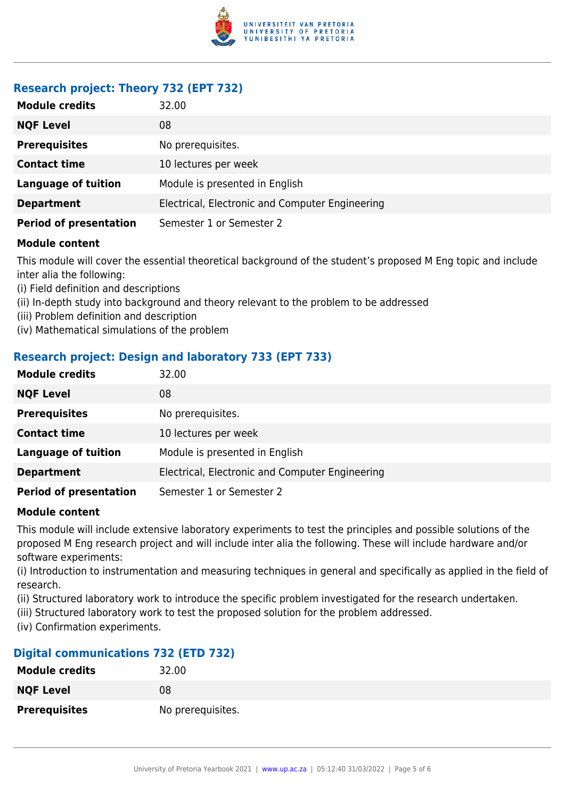

### **Research project: Theory 732 (EPT 732)**

| <b>Module credits</b>         | 32.00                                           |
|-------------------------------|-------------------------------------------------|
| <b>NQF Level</b>              | 08                                              |
| <b>Prerequisites</b>          | No prerequisites.                               |
| <b>Contact time</b>           | 10 lectures per week                            |
| <b>Language of tuition</b>    | Module is presented in English                  |
| <b>Department</b>             | Electrical, Electronic and Computer Engineering |
| <b>Period of presentation</b> | Semester 1 or Semester 2                        |

#### **Module content**

This module will cover the essential theoretical background of the student's proposed M Eng topic and include inter alia the following:

- (i) Field definition and descriptions
- (ii) In-depth study into background and theory relevant to the problem to be addressed
- (iii) Problem definition and description
- (iv) Mathematical simulations of the problem

#### **Research project: Design and laboratory 733 (EPT 733)**

| <b>Module credits</b>         | 32.00                                           |
|-------------------------------|-------------------------------------------------|
| <b>NQF Level</b>              | 08                                              |
| <b>Prerequisites</b>          | No prerequisites.                               |
| <b>Contact time</b>           | 10 lectures per week                            |
| <b>Language of tuition</b>    | Module is presented in English                  |
| <b>Department</b>             | Electrical, Electronic and Computer Engineering |
| <b>Period of presentation</b> | Semester 1 or Semester 2                        |

#### **Module content**

This module will include extensive laboratory experiments to test the principles and possible solutions of the proposed M Eng research project and will include inter alia the following. These will include hardware and/or software experiments:

(i) Introduction to instrumentation and measuring techniques in general and specifically as applied in the field of research.

(ii) Structured laboratory work to introduce the specific problem investigated for the research undertaken.

(iii) Structured laboratory work to test the proposed solution for the problem addressed.

(iv) Confirmation experiments.

#### **Digital communications 732 (ETD 732)**

| <b>Module credits</b> | 32.00             |
|-----------------------|-------------------|
| <b>NQF Level</b>      | 08                |
| <b>Prerequisites</b>  | No prerequisites. |